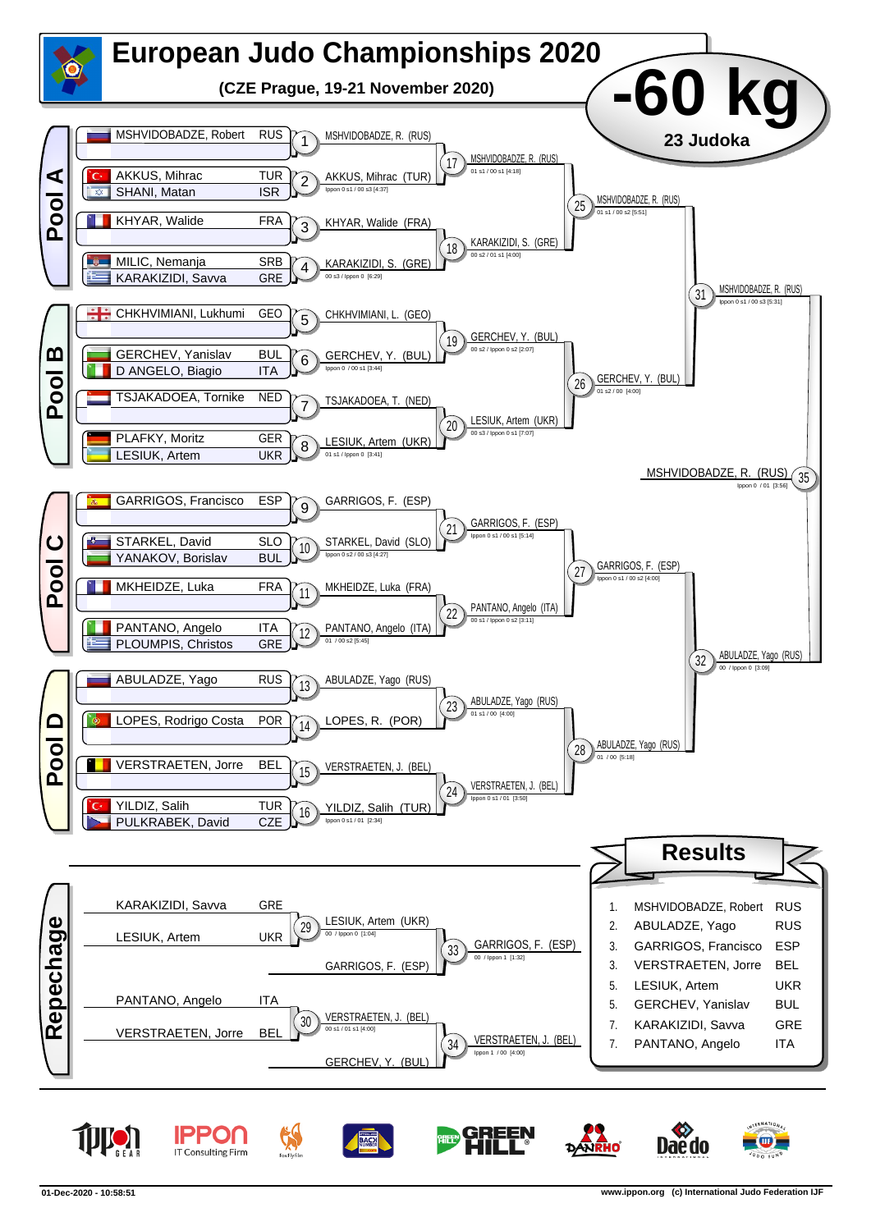

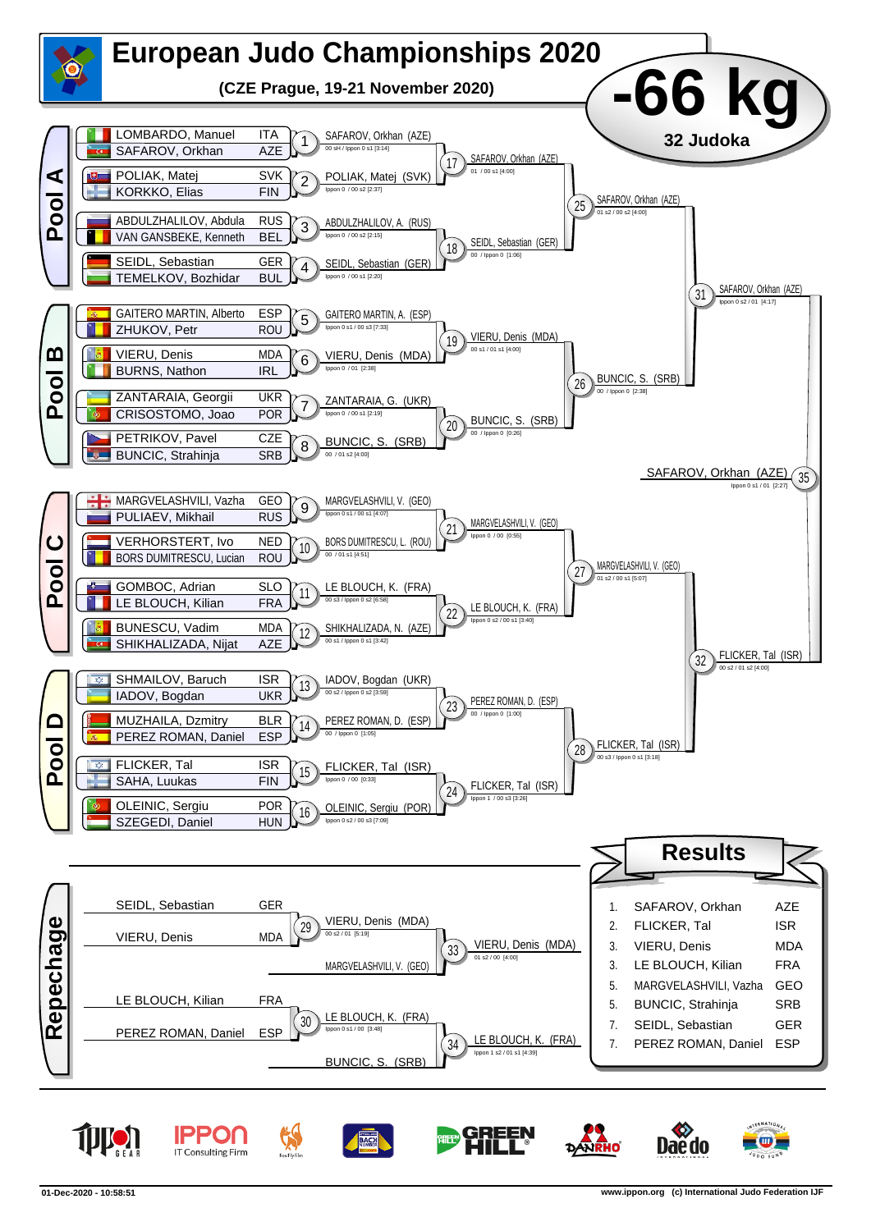

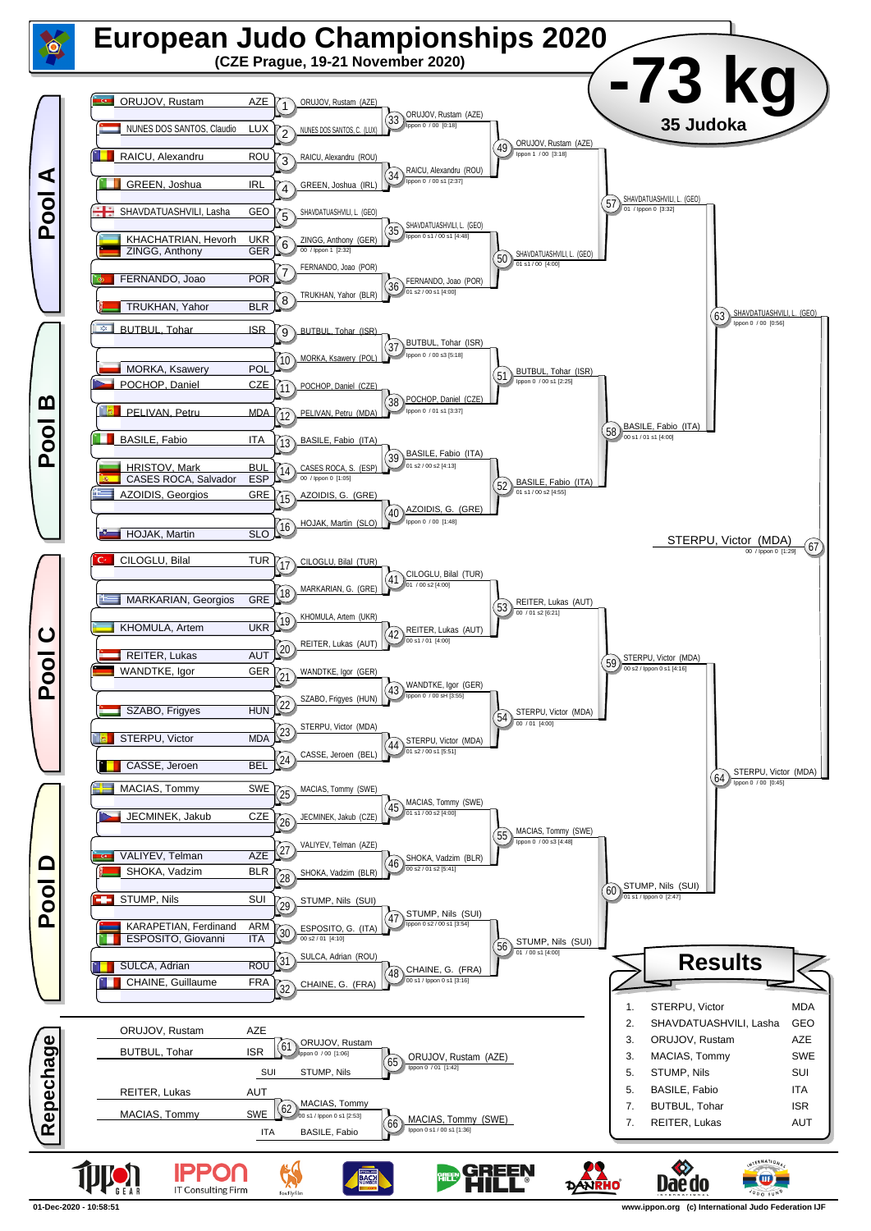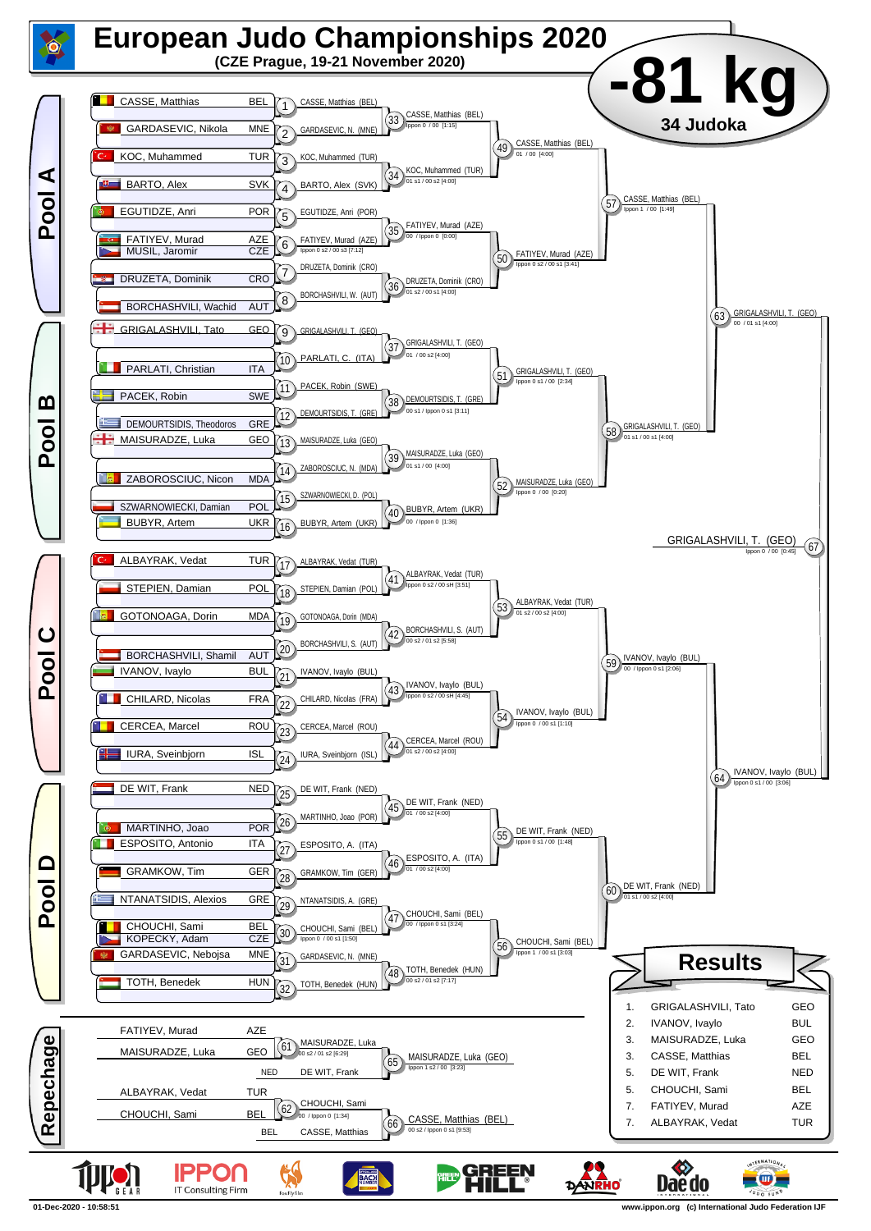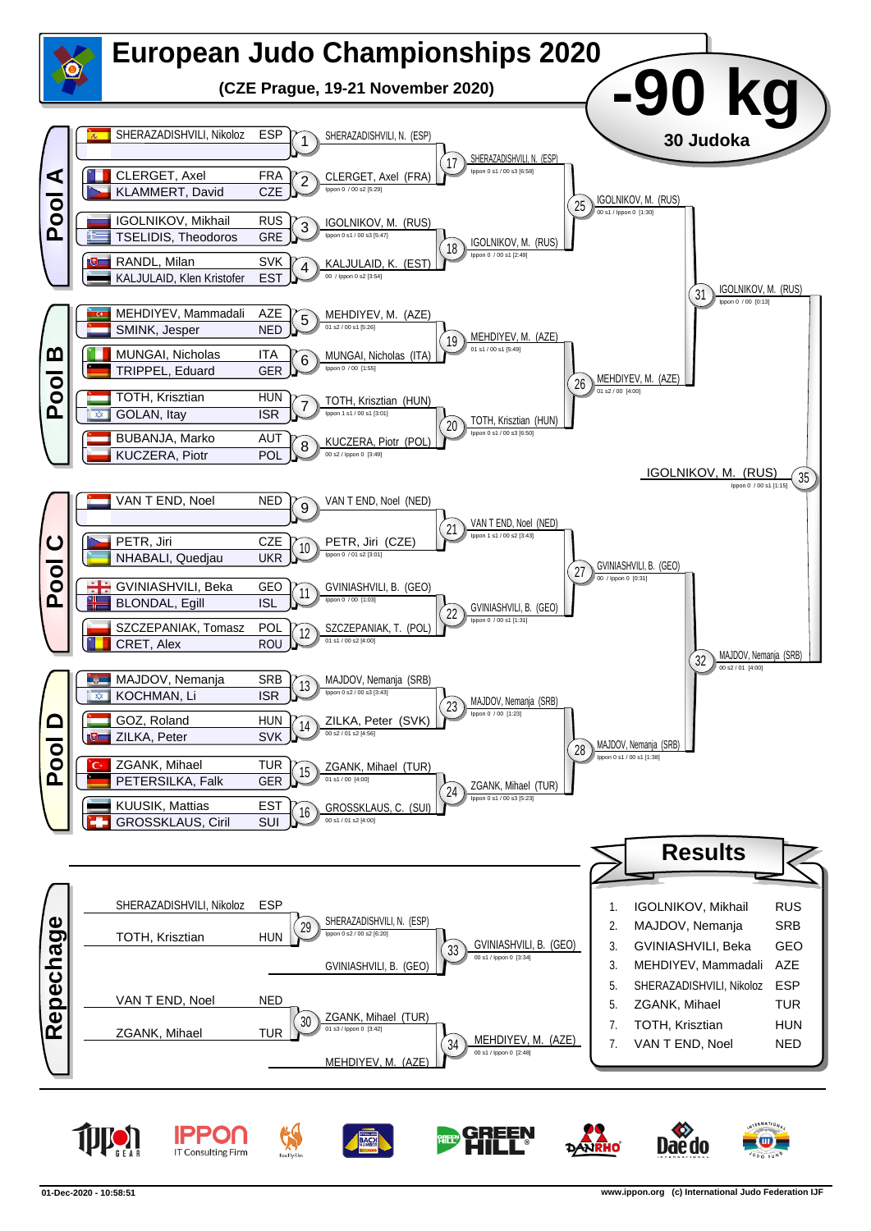

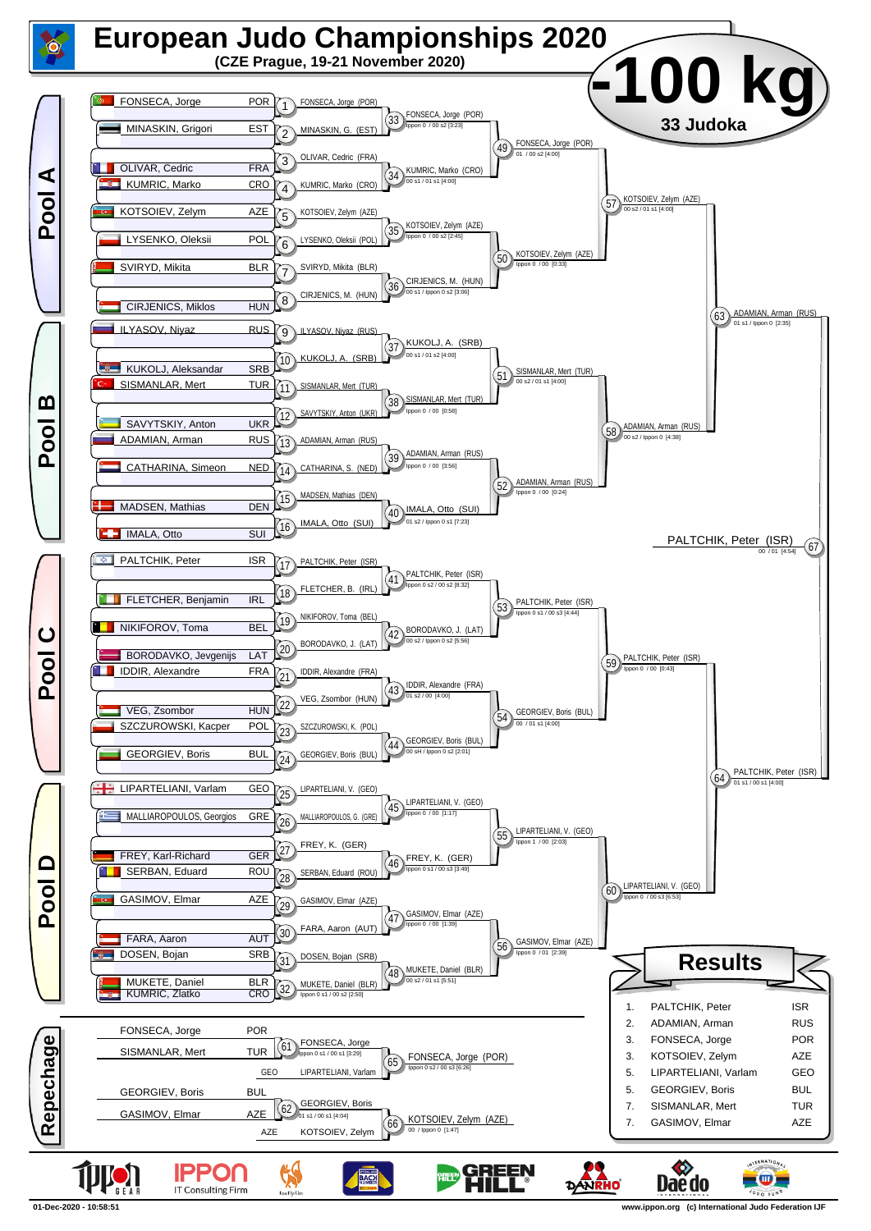

**<sup>01-</sup>Dec-2020 - 10:58:51 www.ippon.org (c) International Judo Federation IJF**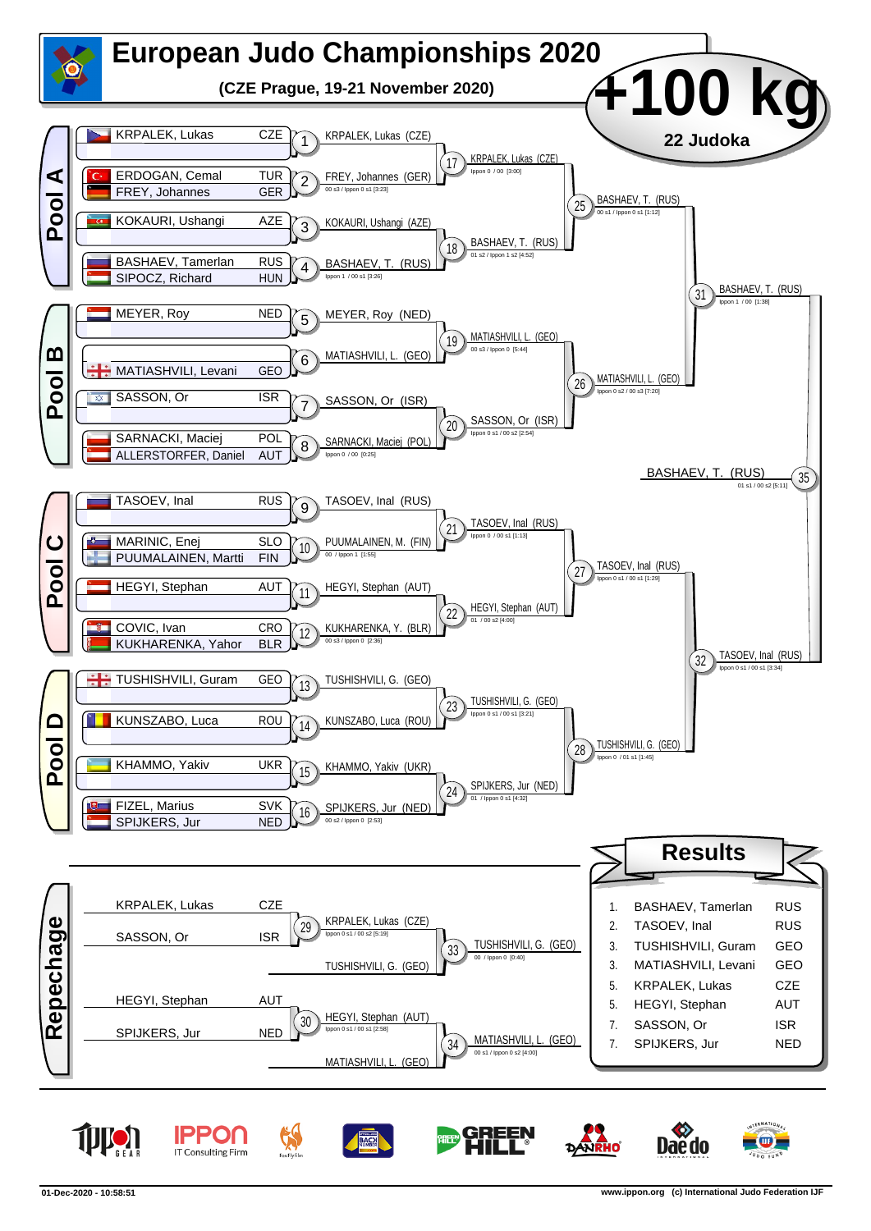

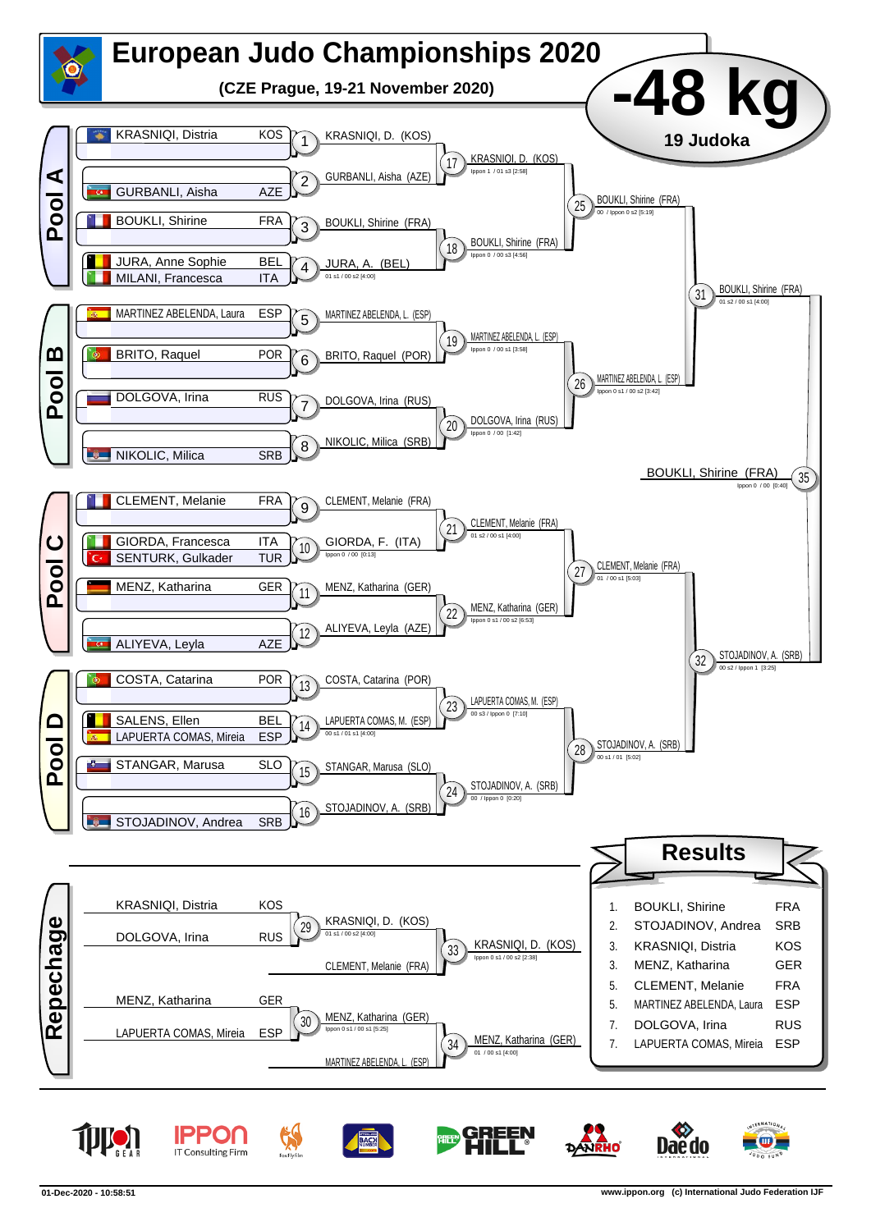

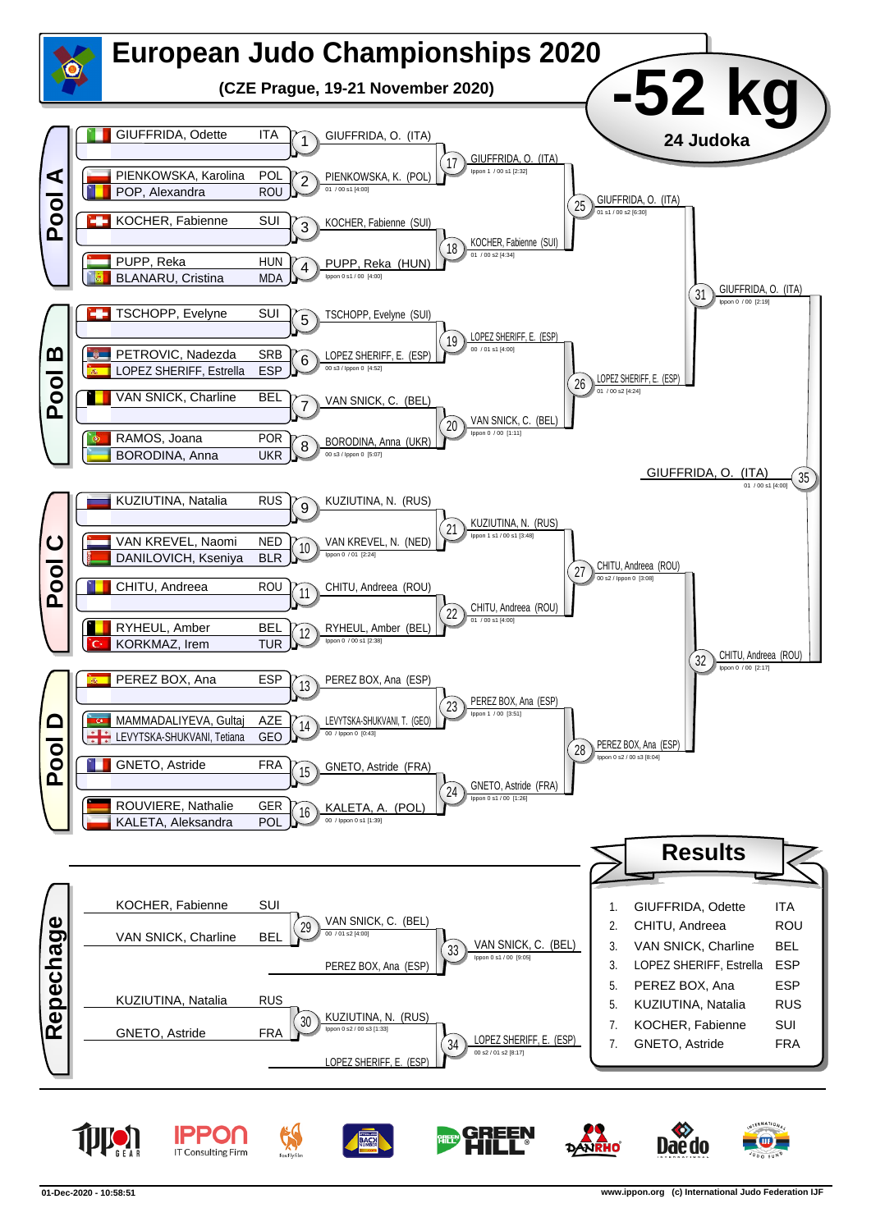

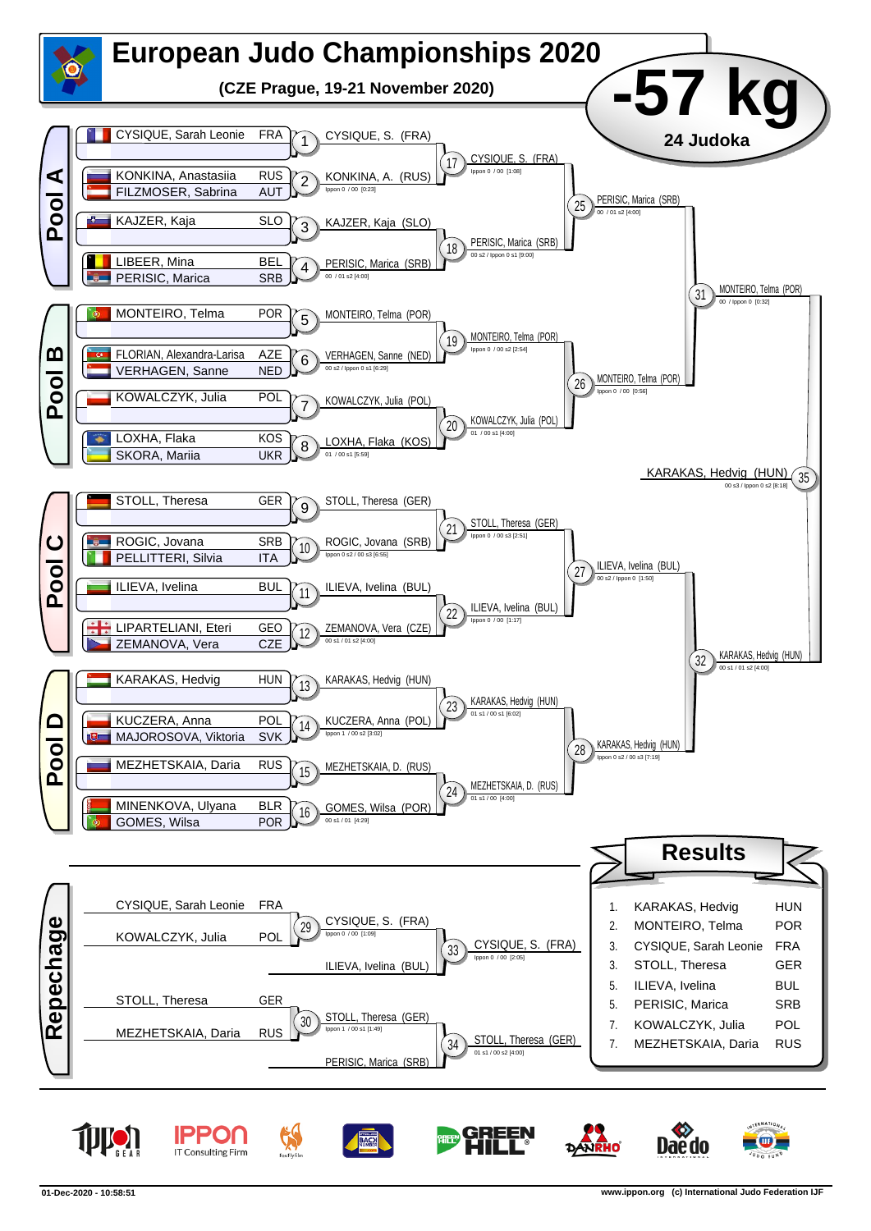

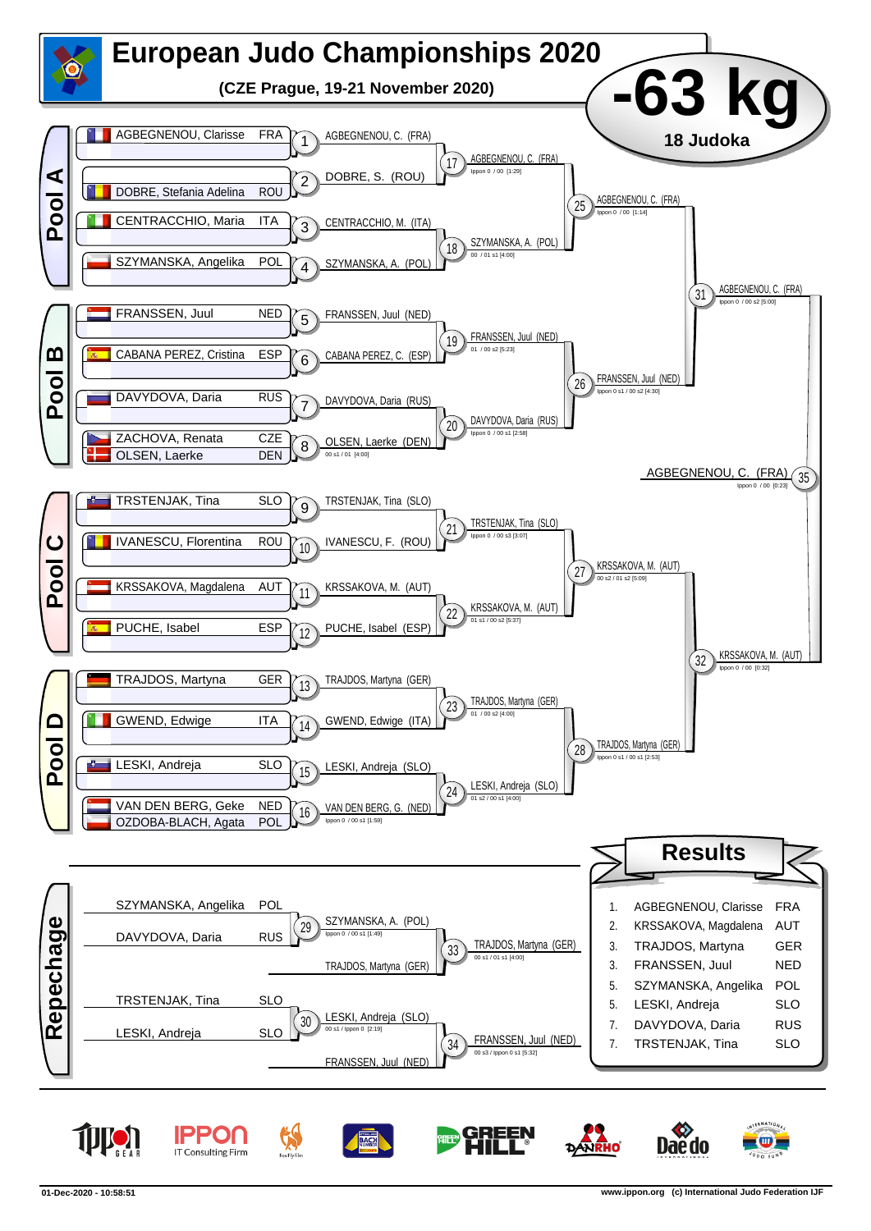

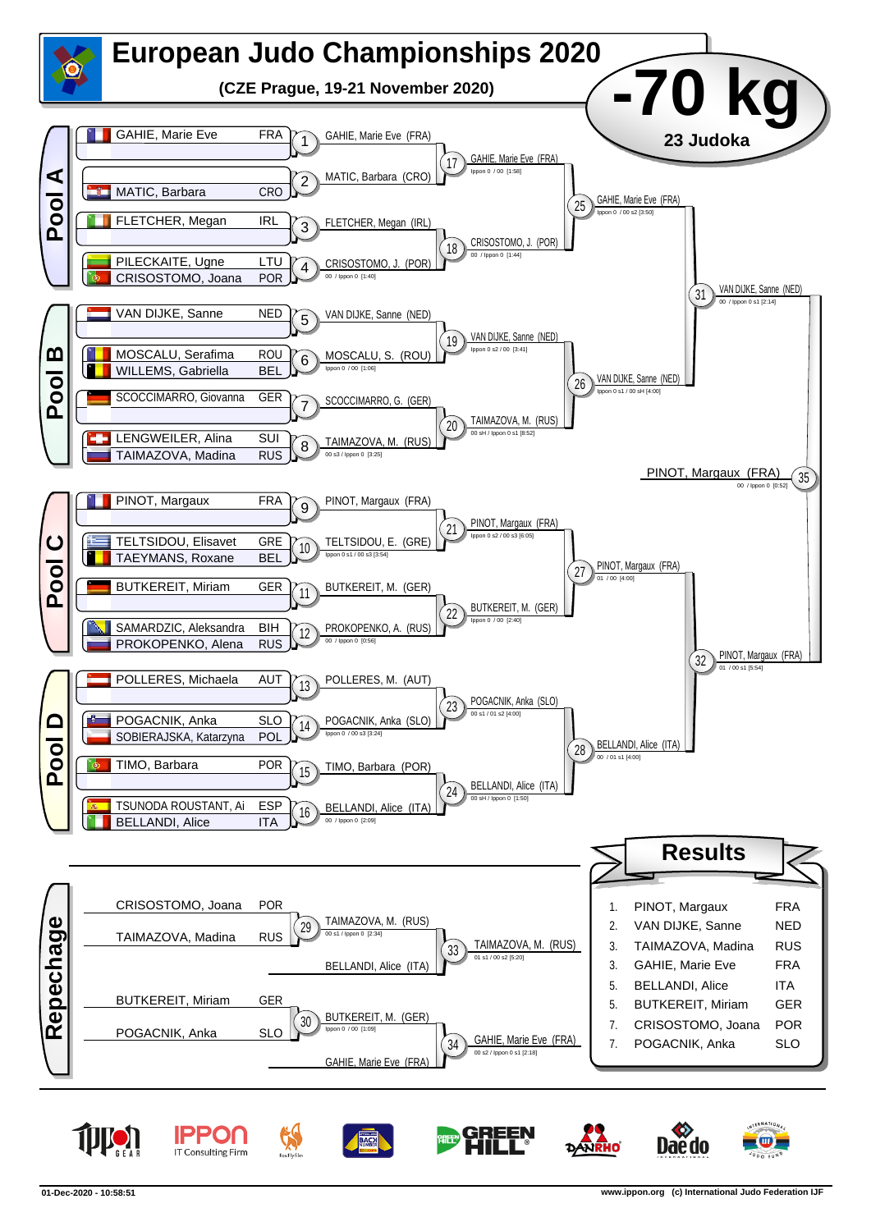

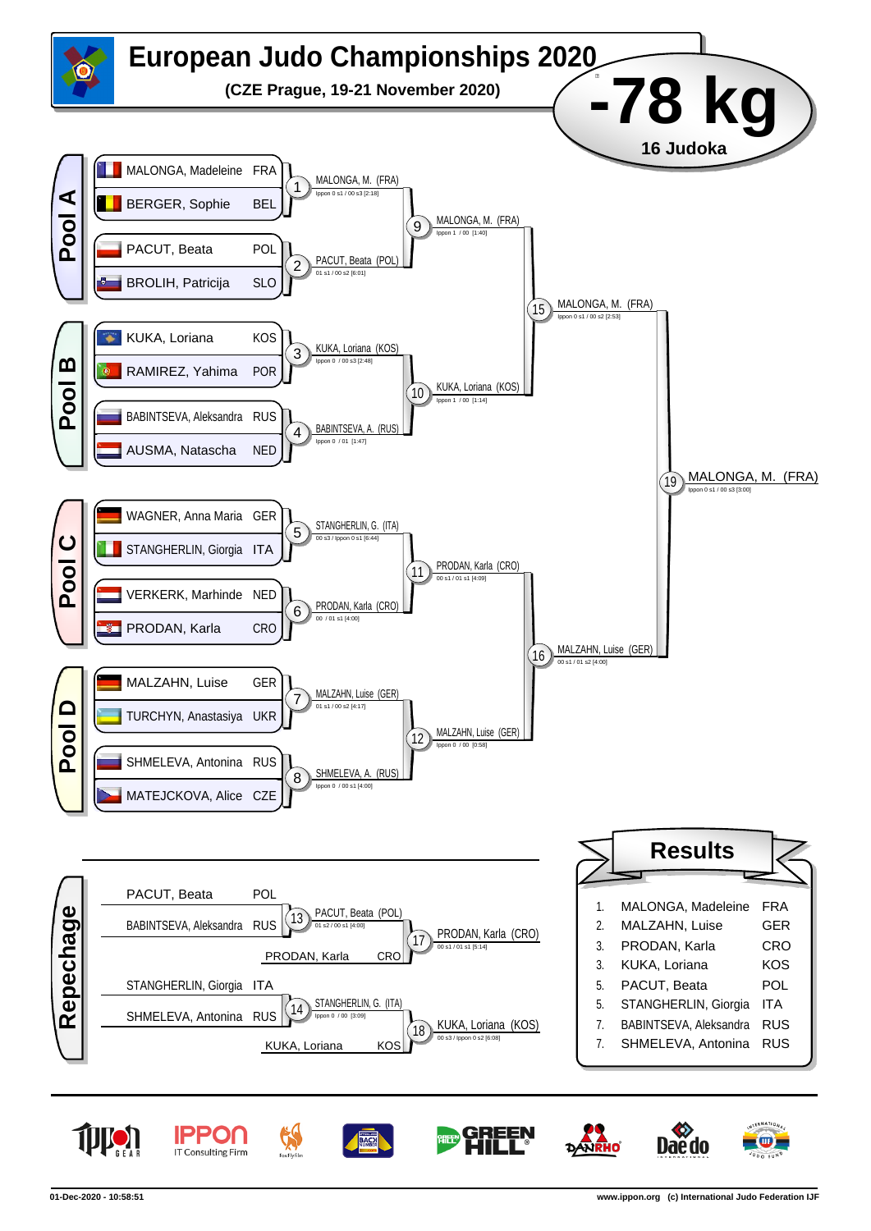